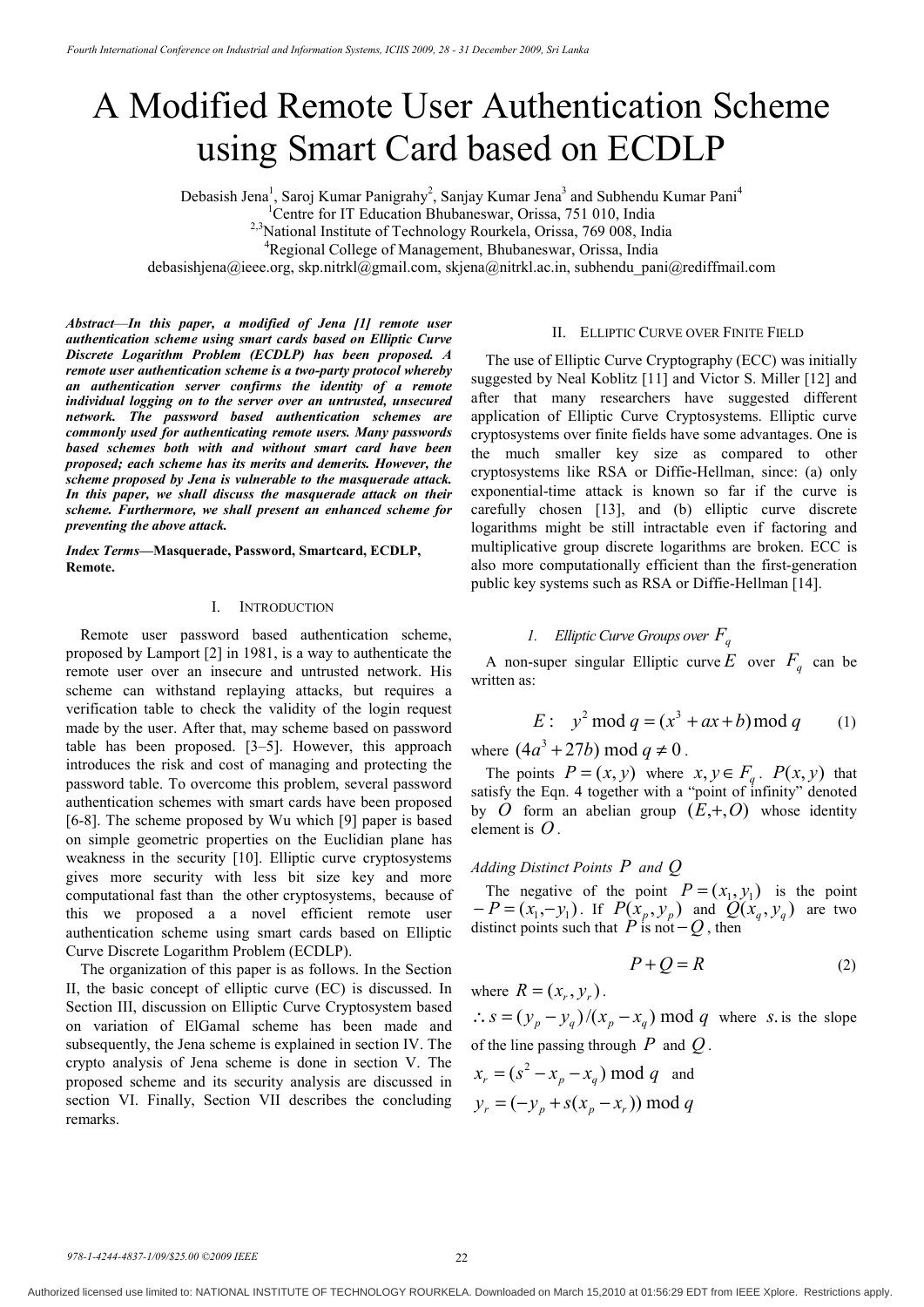# A Modified Remote User Authentication Scheme using Smart Card based on ECDLP

Debasish Jena<sup>1</sup>, Saroj Kumar Panigrahy<sup>2</sup>, Sanjay Kumar Jena<sup>3</sup> and Subhendu Kumar Pani<sup>4</sup>

<sup>1</sup>Centre for IT Education Bhubaneswar, Orissa, 751 010, India

<sup>2,3</sup>National Institute of Technology Rourkela, Orissa, 769 008, India

4 Regional College of Management, Bhubaneswar, Orissa, India

debasishjena@ieee.org, skp.nitrkl@gmail.com, skjena@nitrkl.ac.in, subhendu pani@rediffmail.com

*Abstract*—*In this paper, a modified of Jena [1] remote user authentication scheme using smart cards based on Elliptic Curve Discrete Logarithm Problem (ECDLP) has been proposed. A remote user authentication scheme is a two-party protocol whereby an authentication server confirms the identity of a remote individual logging on to the server over an untrusted, unsecured network. The password based authentication schemes are commonly used for authenticating remote users. Many passwords based schemes both with and without smart card have been proposed; each scheme has its merits and demerits. However, the scheme proposed by Jena is vulnerable to the masquerade attack. In this paper, we shall discuss the masquerade attack on their scheme. Furthermore, we shall present an enhanced scheme for preventing the above attack.*

*Index Terms***—Masquerade, Password, Smartcard, ECDLP, Remote.**

# I. INTRODUCTION

Remote user password based authentication scheme, proposed by Lamport [2] in 1981, is a way to authenticate the remote user over an insecure and untrusted network. His scheme can withstand replaying attacks, but requires a verification table to check the validity of the login request made by the user. After that, may scheme based on password table has been proposed. [3–5]. However, this approach introduces the risk and cost of managing and protecting the password table. To overcome this problem, several password authentication schemes with smart cards have been proposed [6-8]. The scheme proposed by Wu which [9] paper is based on simple geometric properties on the Euclidian plane has weakness in the security [10]. Elliptic curve cryptosystems gives more security with less bit size key and more computational fast than the other cryptosystems, because of this we proposed a a novel efficient remote user authentication scheme using smart cards based on Elliptic Curve Discrete Logarithm Problem (ECDLP).

The organization of this paper is as follows. In the Section II, the basic concept of elliptic curve (EC) is discussed. In Section III, discussion on Elliptic Curve Cryptosystem based on variation of ElGamal scheme has been made and subsequently, the Jena scheme is explained in section IV. The crypto analysis of Jena scheme is done in section V. The proposed scheme and its security analysis are discussed in section VI. Finally, Section VII describes the concluding remarks.

## II. ELLIPTIC CURVE OVER FINITE FIELD

The use of Elliptic Curve Cryptography (ECC) was initially suggested by Neal Koblitz [11] and Victor S. Miller [12] and after that many researchers have suggested different application of Elliptic Curve Cryptosystems. Elliptic curve cryptosystems over finite fields have some advantages. One is the much smaller key size as compared to other cryptosystems like RSA or Diffie-Hellman, since: (a) only exponential-time attack is known so far if the curve is carefully chosen [13], and (b) elliptic curve discrete logarithms might be still intractable even if factoring and multiplicative group discrete logarithms are broken. ECC is also more computationally efficient than the first-generation public key systems such as RSA or Diffie-Hellman [14].

# *1. Elliptic Curve Groups over Fq*

A non-super singular Elliptic curve *E* over  $F_q$  can be written as:

E: 
$$
y^2 \mod q = (x^3 + ax + b) \mod q
$$
 (1)

where  $(4a^3 + 27b) \text{ mod } q \neq 0$ .

The points  $P = (x, y)$  where  $x, y \in F_q$ .  $P(x, y)$  that satisfy the Eqn. 4 together with a "point of infinity" denoted by *O* form an abelian group  $(E, +, O)$  whose identity element is *O* .

## *Adding Distinct Points P and Q*

The negative of the point  $P = (x_1, y_1)$  is the point  $-P=(x_1, -y_1)$ . If  $P(x_p, y_p)$  and  $Q(x_q, y_q)$  are two distinct points such that  $\overrightarrow{P}$  is not  $-\overrightarrow{Q}$ , then

$$
P + Q = R \tag{2}
$$

where  $R = (x_{r}, y_{r})$ .

 $\therefore$  *s* =  $(y_p - y_q)/(x_p - x_q)$  mod *q* where *s*. is the slope of the line passing through *P* and *Q* .

$$
x_r = (s^2 - x_p - x_q) \mod q
$$
 and  

$$
y_r = (-y_p + s(x_p - x_r)) \mod q
$$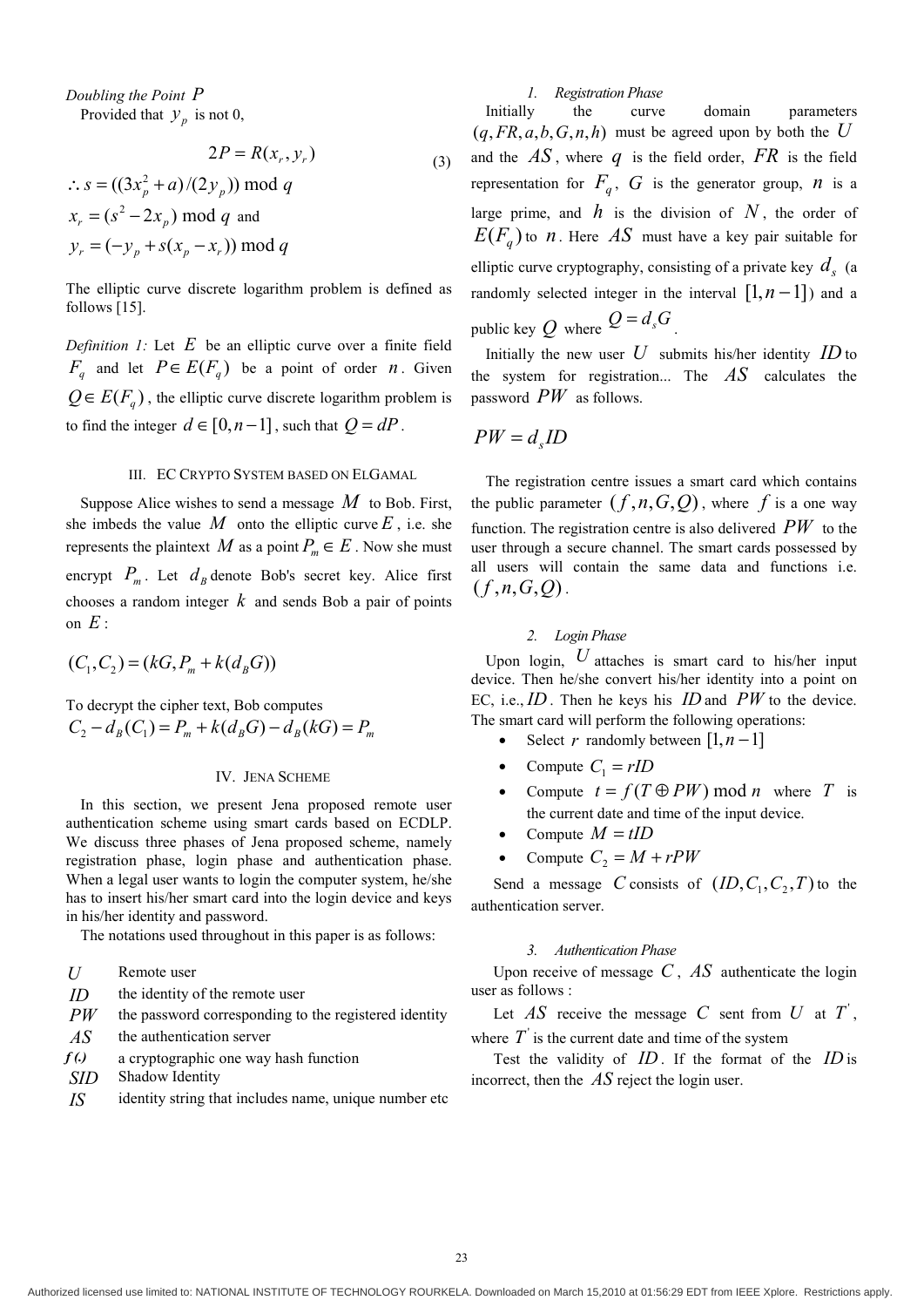*Doubling the Point P* Provided that  $y_n$  is not 0,

$$
2P = R(x_r, y_r)
$$
  
\n
$$
\therefore s = ((3x_p^2 + a)/(2y_p)) \mod q
$$
  
\n
$$
x_r = (s^2 - 2x_p) \mod q \text{ and}
$$
  
\n
$$
y_r = (-y_p + s(x_p - x_r)) \mod q
$$
 (3)

The elliptic curve discrete logarithm problem is defined as follows [15].

*Definition 1:* Let *E* be an elliptic curve over a finite field  $F_q$  and let  $P \in E(F_q)$  be a point of order *n*. Given  $Q \in E(F_a)$ , the elliptic curve discrete logarithm problem is to find the integer  $d \in [0, n-1]$ , such that  $Q = dP$ .

#### III. EC CRYPTO SYSTEM BASED ON ELGAMAL

Suppose Alice wishes to send a message *M* to Bob. First, she imbeds the value  $M$  onto the elliptic curve  $E$ , i.e. she represents the plaintext *M* as a point  $P_m \in E$ . Now she must encrypt  $P_m$ . Let  $d_B$  denote Bob's secret key. Alice first chooses a random integer *k* and sends Bob a pair of points on  $E$  :

$$
(C_1, C_2) = (kG, P_m + k(d_B G))
$$

To decrypt the cipher text, Bob computes  $C_2 - d_R(C_1) = P_m + k(d_RG) - d_R(kG) = P_m$ 

### IV. JENA SCHEME

In this section, we present Jena proposed remote user authentication scheme using smart cards based on ECDLP. We discuss three phases of Jena proposed scheme, namely registration phase, login phase and authentication phase. When a legal user wants to login the computer system, he/she has to insert his/her smart card into the login device and keys in his/her identity and password.

The notations used throughout in this paper is as follows:

- *U* Remote user
- *ID* the identity of the remote user
- *PW* the password corresponding to the registered identity
- AS the authentication server
- *f (.)* a cryptographic one way hash function
- *SID* Shadow Identity
- *IS* identity string that includes name, unique number etc

## *1. Registration Phase*

Initially the curve domain parameters  $(q, FR, a, b, G, n, h)$  must be agreed upon by both the *U* and the  $AS$ , where  $q$  is the field order,  $FR$  is the field representation for  $F_q$ ,  $G$  is the generator group,  $n$  is a large prime, and  $h$  is the division of  $N$ , the order of  $E(F_a)$  to *n*. Here *AS* must have a key pair suitable for elliptic curve cryptography, consisting of a private key  $d<sub>s</sub>$  (a randomly selected integer in the interval  $[1, n-1]$ ) and a public key  $Q$  where  $Q = d_s G$ .

Initially the new user  $U$  submits his/her identity  $ID$  to the system for registration... The *AS* calculates the password *PW* as follows.

$$
PW=d_sID
$$

The registration centre issues a smart card which contains the public parameter  $(f, n, G, Q)$ , where *f* is a one way function. The registration centre is also delivered *PW* to the user through a secure channel. The smart cards possessed by all users will contain the same data and functions i.e.  $(f, n, G, O)$ .

# *2. Login Phase*

Upon login,  $U$  attaches is smart card to his/her input device. Then he/she convert his/her identity into a point on EC, i.e., *ID* . Then he keys his *ID* and *PW* to the device. The smart card will perform the following operations:

- Select *r* randomly between  $[1, n-1]$
- Compute  $C_1 = rID$
- Compute  $t = f(T \oplus PW) \mod n$  where *T* is the current date and time of the input device.
- Compute  $M = tID$
- Compute  $C_2 = M + rPW$

Send a message *C* consists of  $(ID, C_1, C_2, T)$  to the authentication server.

#### *3. Authentication Phase*

Upon receive of message *C* , *AS* authenticate the login user as follows :

Let  $\overrightarrow{AS}$  receive the message  $\overrightarrow{C}$  sent from  $\overrightarrow{U}$  at  $\overrightarrow{T}$ , where  $T'$  is the current date and time of the system

Test the validity of *ID* . If the format of the *ID* is incorrect, then the *AS* reject the login user.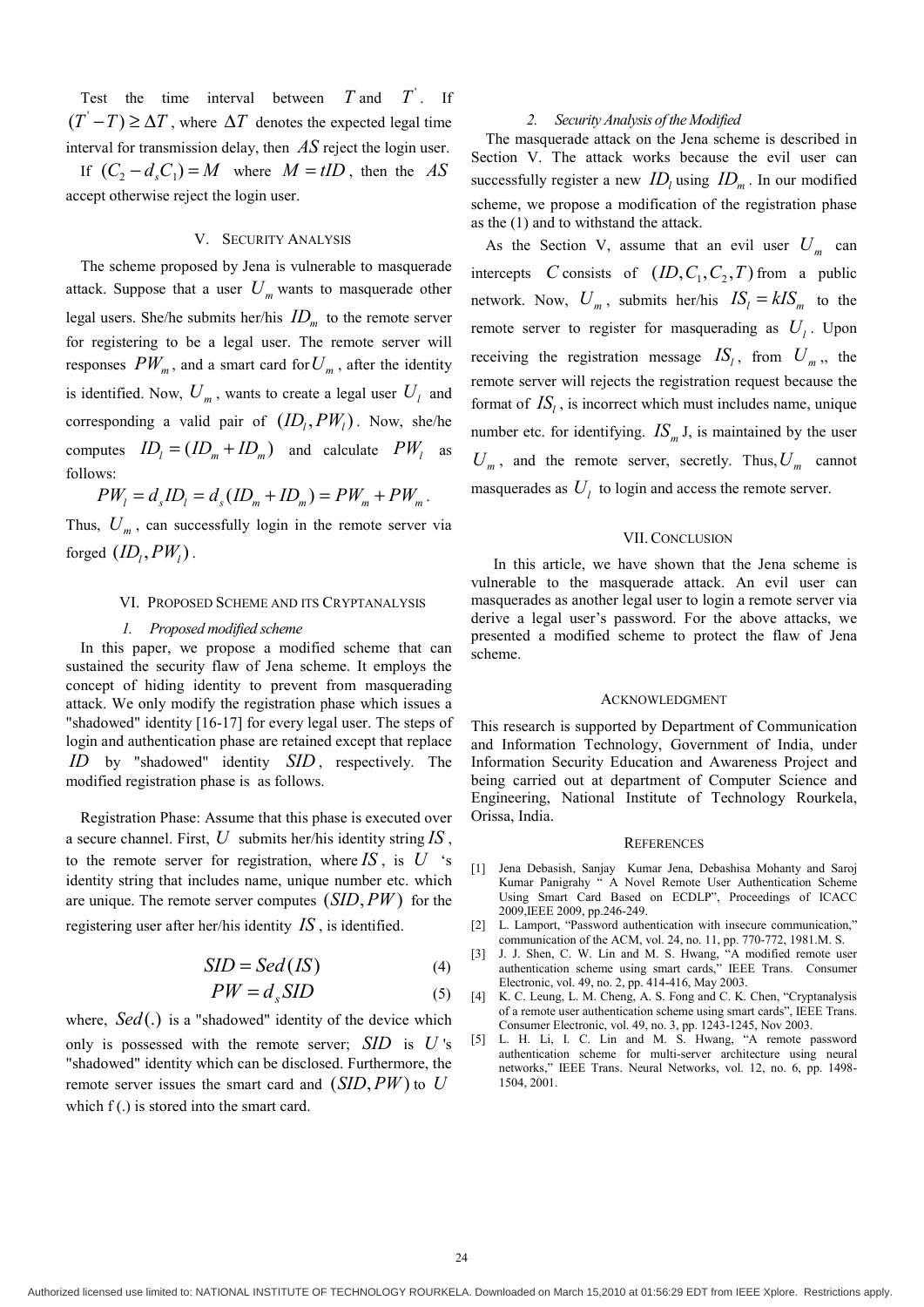Test the time interval between  $T$  and  $T'$ . If  $(T-T) \geq \Delta T$ , where  $\Delta T$  denotes the expected legal time interval for transmission delay, then *AS* reject the login user.

If  $(C_2 - d_s C_1) = M$  where  $M = tID$ , then the *AS* accept otherwise reject the login user.

## V. SECURITY ANALYSIS

The scheme proposed by Jena is vulnerable to masquerade attack. Suppose that a user  $U_m$  wants to masquerade other legal users. She/he submits her/his  $ID_m$  to the remote server for registering to be a legal user. The remote server will responses  $PW_m$ , and a smart card for  $U_m$ , after the identity is identified. Now,  $U_m$ , wants to create a legal user  $U_l$  and corresponding a valid pair of  $(ID_i, PW_j)$ . Now, she/he computes  $ID_i = (ID_m + ID_m)$  and calculate  $PW_i$  as follows:

$$
PW_l = d_s ID_l = d_s (ID_m + ID_m) = PW_m + PW_m.
$$

Thus,  $U_m$ , can successfully login in the remote server via forged  $(ID_i, PW_j)$ .

#### VI. PROPOSED SCHEME AND ITS CRYPTANALYSIS

#### *1. Proposed modified scheme*

In this paper, we propose a modified scheme that can sustained the security flaw of Jena scheme. It employs the concept of hiding identity to prevent from masquerading attack. We only modify the registration phase which issues a "shadowed" identity [16-17] for every legal user. The steps of login and authentication phase are retained except that replace *ID* by "shadowed" identity *SID* , respectively. The modified registration phase is as follows.

Registration Phase: Assume that this phase is executed over a secure channel. First, *U* submits her/his identity string *IS* , to the remote server for registration, where  $IS$ , is  $U$  's identity string that includes name, unique number etc. which are unique. The remote server computes  $(SID, PW)$  for the registering user after her/his identity *IS* , is identified.

$$
SID = Sed (IS)
$$
 (4)

$$
PW = d_s SID \tag{5}
$$

where, *Sed*(.) is a "shadowed" identity of the device which only is possessed with the remote server; *SID* is *U* 's "shadowed" identity which can be disclosed. Furthermore, the remote server issues the smart card and *(SID, PW)* to *U* which f(.) is stored into the smart card.

#### *2. Security Analysis of the Modified*

The masquerade attack on the Jena scheme is described in Section V. The attack works because the evil user can successfully register a new  $ID_i$  using  $ID_m$ . In our modified scheme, we propose a modification of the registration phase as the (1) and to withstand the attack.

As the Section V, assume that an evil user  $U_m$  can intercepts *C* consists of  $(ID, C_1, C_2, T)$  from a public network. Now,  $U_m$ , submits her/his  $IS_l = kIS_m$  to the remote server to register for masquerading as  $U_1$ . Upon receiving the registration message  $IS_i$ , from  $U_m$ ,, the remote server will rejects the registration request because the format of  $IS_i$ , is incorrect which must includes name, unique number etc. for identifying.  $IS_m$  *J*, is maintained by the user  $U_m$ , and the remote server, secretly. Thus,  $U_m$  cannot masquerades as  $U_i$  to login and access the remote server.

## VII.CONCLUSION

In this article, we have shown that the Jena scheme is vulnerable to the masquerade attack. An evil user can masquerades as another legal user to login a remote server via derive a legal user's password. For the above attacks, we presented a modified scheme to protect the flaw of Jena scheme.

#### ACKNOWLEDGMENT

This research is supported by Department of Communication and Information Technology, Government of India, under Information Security Education and Awareness Project and being carried out at department of Computer Science and Engineering, National Institute of Technology Rourkela, Orissa, India.

#### **REFERENCES**

- [1] Jena Debasish, Sanjay Kumar Jena, Debashisa Mohanty and Saroj Kumar Panigrahy " A Novel Remote User Authentication Scheme Using Smart Card Based on ECDLP", Proceedings of ICACC 2009,IEEE 2009, pp.246-249.
- [2] L. Lamport, "Password authentication with insecure communication," communication of the ACM, vol. 24, no. 11, pp. 770-772, 1981.M. S.
- [3] J. J. Shen, C. W. Lin and M. S. Hwang, "A modified remote user authentication scheme using smart cards," IEEE Trans. Consumer Electronic, vol. 49, no. 2, pp. 414-416, May 2003.
- [4] K. C. Leung, L. M. Cheng, A. S. Fong and C. K. Chen, "Cryptanalysis of a remote user authentication scheme using smart cards", IEEE Trans. Consumer Electronic, vol. 49, no. 3, pp. 1243-1245, Nov 2003.
- [5] L. H. Li, I. C. Lin and M. S. Hwang, "A remote password authentication scheme for multi-server architecture using neural networks," IEEE Trans. Neural Networks, vol. 12, no. 6, pp. 1498- 1504, 2001.